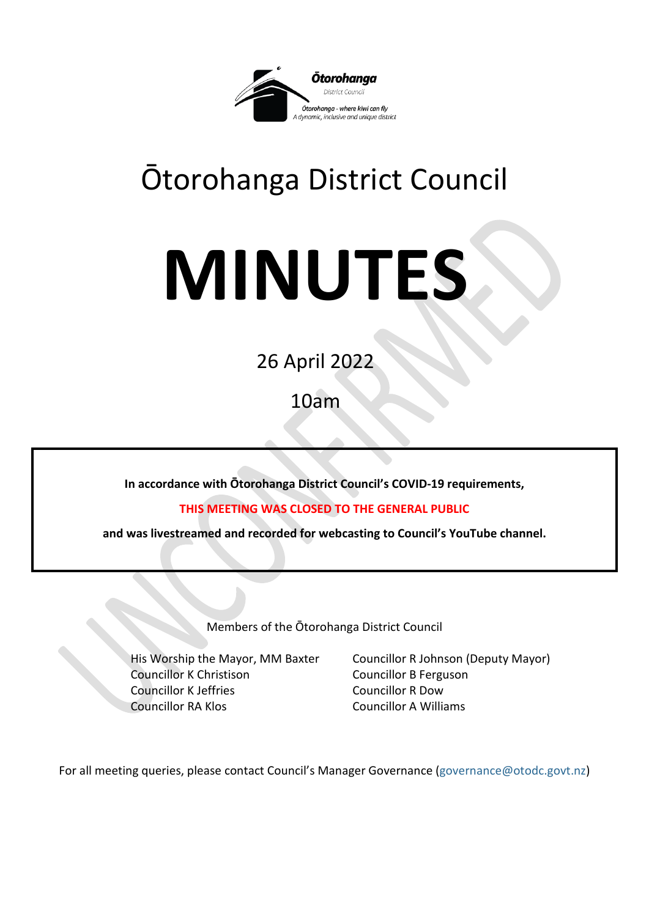

# Ōtorohanga District Council

# **MINUTES**

26 April 2022

10am

**In accordance with Ōtorohanga District Council's COVID-19 requirements,**

**THIS MEETING WAS CLOSED TO THE GENERAL PUBLIC**

**and was livestreamed and recorded for webcasting to Council's YouTube channel.**

Members of the Ōtorohanga District Council

Councillor K Christison Councillor B Ferguson Councillor K Jeffries Councillor R Dow Councillor RA Klos Councillor A Williams

His Worship the Mayor, MM Baxter Councillor R Johnson (Deputy Mayor)

For all meeting queries, please contact Council's Manager Governance [\(governance@otodc.govt.nz\)](mailto:governance@otodc.govt.nz)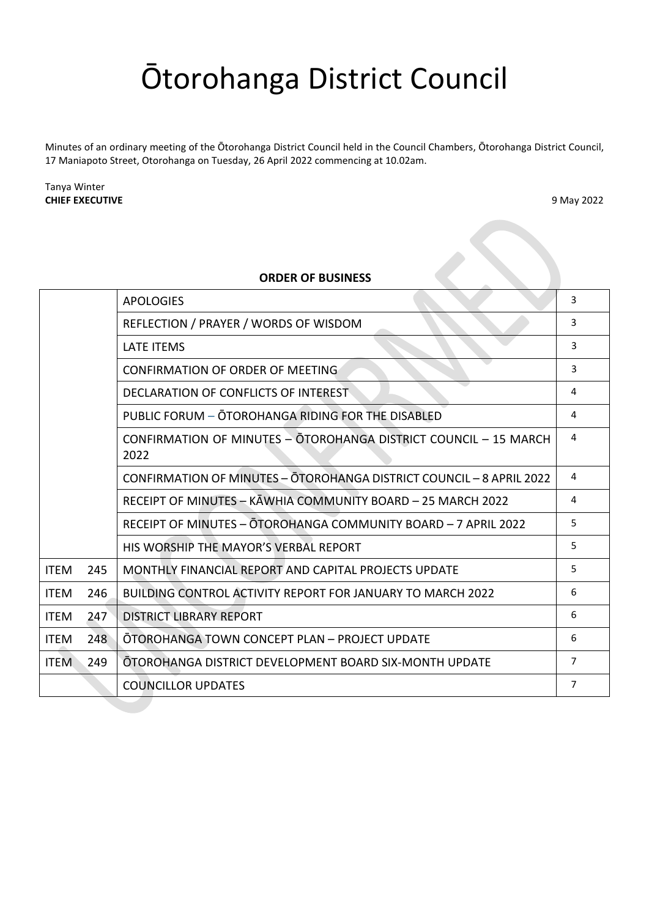# Ōtorohanga District Council

Minutes of an ordinary meeting of the Ōtorohanga District Council held in the Council Chambers, Ōtorohanga District Council, 17 Maniapoto Street, Otorohanga on Tuesday, 26 April 2022 commencing at 10.02am.

Tanya Winter **CHIEF EXECUTIVE** 9 May 2022

#### **ORDER OF BUSINESS**

| <b>ORDER OF BUSINESS</b> |     |                                                                          |                |
|--------------------------|-----|--------------------------------------------------------------------------|----------------|
|                          |     | <b>APOLOGIES</b>                                                         | 3              |
|                          |     | REFLECTION / PRAYER / WORDS OF WISDOM                                    | 3              |
|                          |     | <b>LATE ITEMS</b>                                                        | 3              |
|                          |     | CONFIRMATION OF ORDER OF MEETING                                         | 3              |
|                          |     | DECLARATION OF CONFLICTS OF INTEREST                                     | 4              |
|                          |     | PUBLIC FORUM - ŌTOROHANGA RIDING FOR THE DISABLED                        | 4              |
|                          |     | CONFIRMATION OF MINUTES - OTOROHANGA DISTRICT COUNCIL - 15 MARCH<br>2022 | 4              |
|                          |     | CONFIRMATION OF MINUTES - OTOROHANGA DISTRICT COUNCIL - 8 APRIL 2022     | 4              |
|                          |     | RECEIPT OF MINUTES - KAWHIA COMMUNITY BOARD - 25 MARCH 2022              | 4              |
|                          |     | RECEIPT OF MINUTES - OTOROHANGA COMMUNITY BOARD - 7 APRIL 2022           | 5              |
|                          |     | HIS WORSHIP THE MAYOR'S VERBAL REPORT                                    | 5              |
| <b>ITEM</b>              | 245 | MONTHLY FINANCIAL REPORT AND CAPITAL PROJECTS UPDATE                     | 5              |
| <b>ITEM</b>              | 246 | <b>BUILDING CONTROL ACTIVITY REPORT FOR JANUARY TO MARCH 2022</b>        | 6              |
| <b>ITEM</b>              | 247 | <b>DISTRICT LIBRARY REPORT</b>                                           | 6              |
| <b>ITEM</b>              | 248 | ŌTOROHANGA TOWN CONCEPT PLAN - PROJECT UPDATE                            | 6              |
| <b>ITEM</b>              | 249 | OTOROHANGA DISTRICT DEVELOPMENT BOARD SIX-MONTH UPDATE                   | $\overline{7}$ |
|                          |     | <b>COUNCILLOR UPDATES</b>                                                | 7              |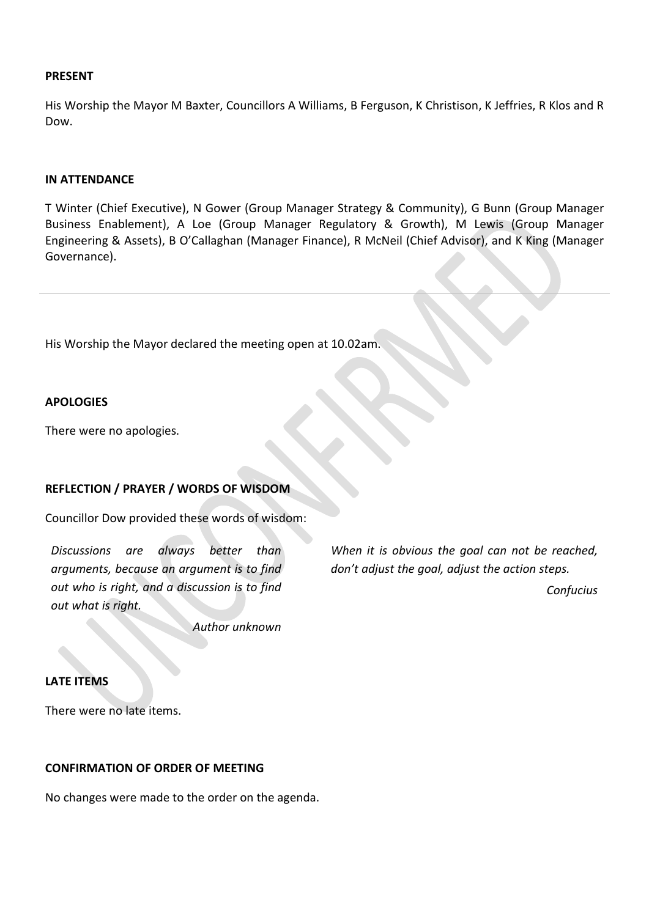#### **PRESENT**

His Worship the Mayor M Baxter, Councillors A Williams, B Ferguson, K Christison, K Jeffries, R Klos and R Dow.

#### **IN ATTENDANCE**

T Winter (Chief Executive), N Gower (Group Manager Strategy & Community), G Bunn (Group Manager Business Enablement), A Loe (Group Manager Regulatory & Growth), M Lewis (Group Manager Engineering & Assets), B O'Callaghan (Manager Finance), R McNeil (Chief Advisor), and K King (Manager Governance).

His Worship the Mayor declared the meeting open at 10.02am.

#### <span id="page-2-0"></span>**APOLOGIES**

There were no apologies.

# <span id="page-2-1"></span>**REFLECTION / PRAYER / WORDS OF WISDOM**

Councillor Dow provided these words of wisdom:

<span id="page-2-2"></span>*Discussions are always better than arguments, because an argument is to find out who is right, and a discussion is to find out what is right.*

*When it is obvious the goal can not be reached, don't adjust the goal, adjust the action steps. Confucius*

*Author unknown*

#### <span id="page-2-3"></span>**LATE ITEMS**

There were no late items.

# <span id="page-2-4"></span>**CONFIRMATION OF ORDER OF MEETING**

No changes were made to the order on the agenda.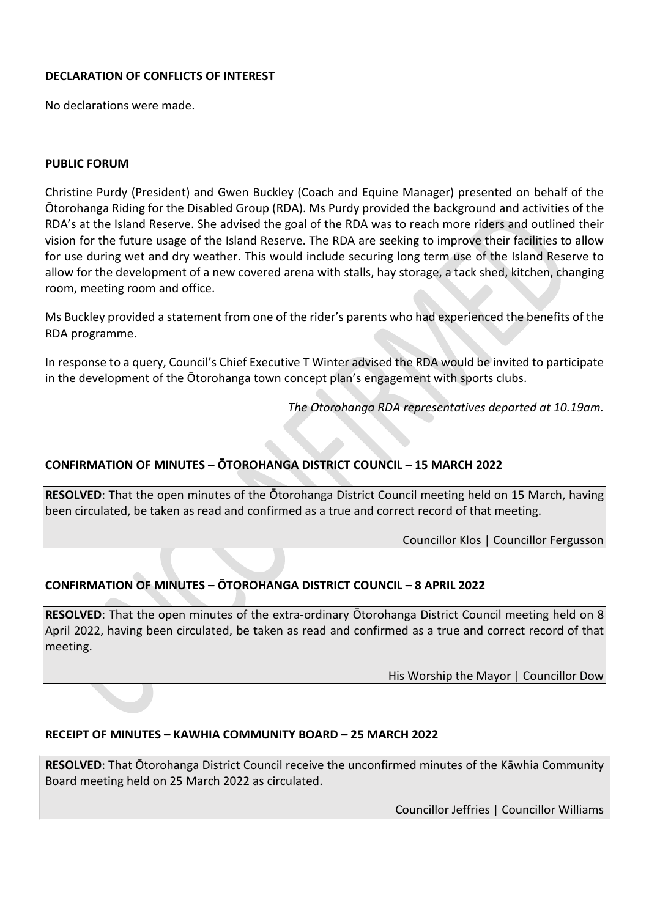# <span id="page-3-0"></span>**DECLARATION OF CONFLICTS OF INTEREST**

No declarations were made.

#### <span id="page-3-1"></span>**PUBLIC FORUM**

Christine Purdy (President) and Gwen Buckley (Coach and Equine Manager) presented on behalf of the Ōtorohanga Riding for the Disabled Group (RDA). Ms Purdy provided the background and activities of the RDA's at the Island Reserve. She advised the goal of the RDA was to reach more riders and outlined their vision for the future usage of the Island Reserve. The RDA are seeking to improve their facilities to allow for use during wet and dry weather. This would include securing long term use of the Island Reserve to allow for the development of a new covered arena with stalls, hay storage, a tack shed, kitchen, changing room, meeting room and office.

Ms Buckley provided a statement from one of the rider's parents who had experienced the benefits of the RDA programme.

In response to a query, Council's Chief Executive T Winter advised the RDA would be invited to participate in the development of the Ōtorohanga town concept plan's engagement with sports clubs.

*The Otorohanga RDA representatives departed at 10.19am.*

# <span id="page-3-2"></span>**CONFIRMATION OF MINUTES – ŌTOROHANGA DISTRICT COUNCIL – 15 MARCH 2022**

**RESOLVED**: That the open minutes of the Ōtorohanga District Council meeting held on 15 March, having been circulated, be taken as read and confirmed as a true and correct record of that meeting.

Councillor Klos | Councillor Fergusson

# <span id="page-3-3"></span>**CONFIRMATION OF MINUTES – ŌTOROHANGA DISTRICT COUNCIL – 8 APRIL 2022**

**RESOLVED**: That the open minutes of the extra-ordinary Ōtorohanga District Council meeting held on 8 April 2022, having been circulated, be taken as read and confirmed as a true and correct record of that meeting.

His Worship the Mayor | Councillor Dow

# <span id="page-3-4"></span>**RECEIPT OF MINUTES – KAWHIA COMMUNITY BOARD – 25 MARCH 2022**

**RESOLVED**: That Ōtorohanga District Council receive the unconfirmed minutes of the Kāwhia Community Board meeting held on 25 March 2022 as circulated.

Councillor Jeffries | Councillor Williams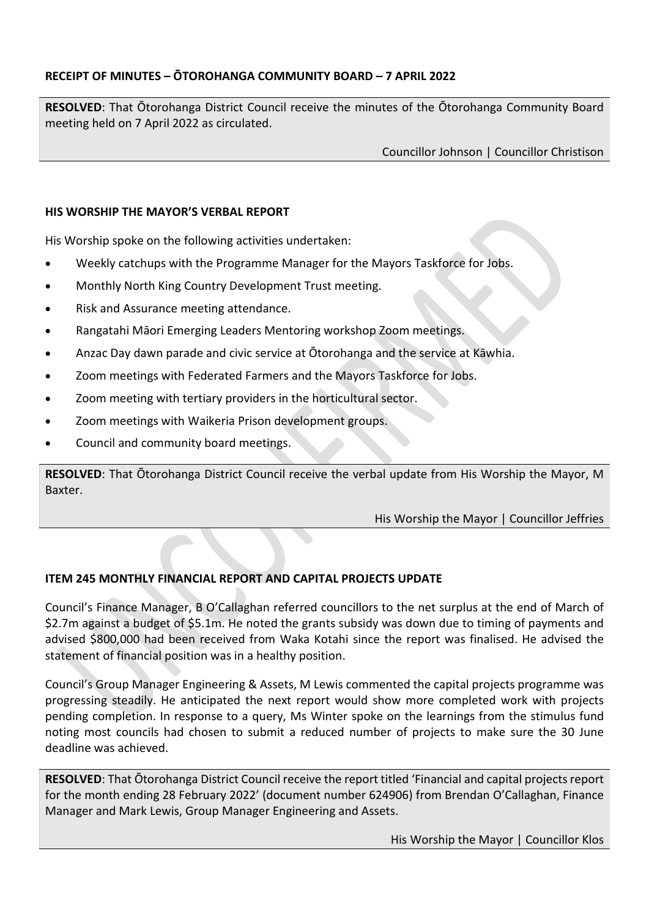# <span id="page-4-0"></span>**RECEIPT OF MINUTES – ŌTOROHANGA COMMUNITY BOARD – 7 APRIL 2022**

**RESOLVED**: That Ōtorohanga District Council receive the minutes of the Ōtorohanga Community Board meeting held on 7 April 2022 as circulated.

Councillor Johnson | Councillor Christison

# <span id="page-4-1"></span>**HIS WORSHIP THE MAYOR'S VERBAL REPORT**

His Worship spoke on the following activities undertaken:

- Weekly catchups with the Programme Manager for the Mayors Taskforce for Jobs.
- Monthly North King Country Development Trust meeting.
- Risk and Assurance meeting attendance.
- Rangatahi Māori Emerging Leaders Mentoring workshop Zoom meetings.
- Anzac Day dawn parade and civic service at Ōtorohanga and the service at Kāwhia.
- Zoom meetings with Federated Farmers and the Mayors Taskforce for Jobs.
- Zoom meeting with tertiary providers in the horticultural sector.
- Zoom meetings with Waikeria Prison development groups.
- Council and community board meetings.

**RESOLVED**: That Ōtorohanga District Council receive the verbal update from His Worship the Mayor, M Baxter.

His Worship the Mayor | Councillor Jeffries

# <span id="page-4-2"></span>**ITEM 245 MONTHLY FINANCIAL REPORT AND CAPITAL PROJECTS UPDATE**

Council's Finance Manager, B O'Callaghan referred councillors to the net surplus at the end of March of \$2.7m against a budget of \$5.1m. He noted the grants subsidy was down due to timing of payments and advised \$800,000 had been received from Waka Kotahi since the report was finalised. He advised the statement of financial position was in a healthy position.

Council's Group Manager Engineering & Assets, M Lewis commented the capital projects programme was progressing steadily. He anticipated the next report would show more completed work with projects pending completion. In response to a query, Ms Winter spoke on the learnings from the stimulus fund noting most councils had chosen to submit a reduced number of projects to make sure the 30 June deadline was achieved.

**RESOLVED**: That Ōtorohanga District Council receive the report titled 'Financial and capital projects report for the month ending 28 February 2022' (document number 624906) from Brendan O'Callaghan, Finance Manager and Mark Lewis, Group Manager Engineering and Assets.

His Worship the Mayor | Councillor Klos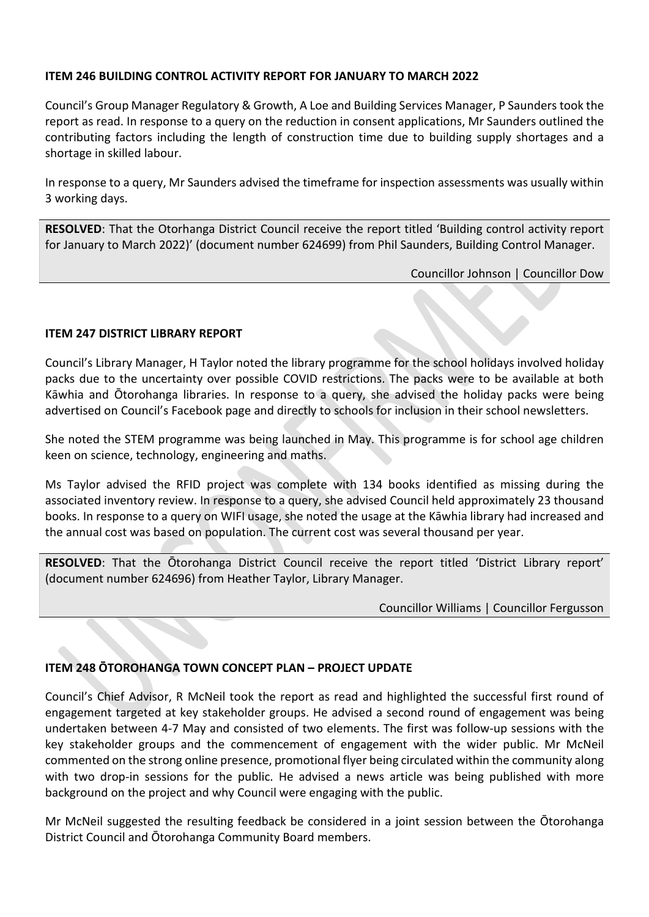# <span id="page-5-0"></span>**ITEM 246 BUILDING CONTROL ACTIVITY REPORT FOR JANUARY TO MARCH 2022**

Council's Group Manager Regulatory & Growth, A Loe and Building Services Manager, P Saunders took the report as read. In response to a query on the reduction in consent applications, Mr Saunders outlined the contributing factors including the length of construction time due to building supply shortages and a shortage in skilled labour.

In response to a query, Mr Saunders advised the timeframe for inspection assessments was usually within 3 working days.

**RESOLVED**: That the Otorhanga District Council receive the report titled 'Building control activity report for January to March 2022)' (document number 624699) from Phil Saunders, Building Control Manager.

Councillor Johnson | Councillor Dow

# <span id="page-5-1"></span>**ITEM 247 DISTRICT LIBRARY REPORT**

Council's Library Manager, H Taylor noted the library programme for the school holidays involved holiday packs due to the uncertainty over possible COVID restrictions. The packs were to be available at both Kāwhia and Ōtorohanga libraries. In response to a query, she advised the holiday packs were being advertised on Council's Facebook page and directly to schools for inclusion in their school newsletters.

She noted the STEM programme was being launched in May. This programme is for school age children keen on science, technology, engineering and maths.

Ms Taylor advised the RFID project was complete with 134 books identified as missing during the associated inventory review. In response to a query, she advised Council held approximately 23 thousand books. In response to a query on WIFI usage, she noted the usage at the Kāwhia library had increased and the annual cost was based on population. The current cost was several thousand per year.

**RESOLVED**: That the Ōtorohanga District Council receive the report titled 'District Library report' (document number 624696) from Heather Taylor, Library Manager.

Councillor Williams | Councillor Fergusson

# <span id="page-5-2"></span>**ITEM 248 ŌTOROHANGA TOWN CONCEPT PLAN – PROJECT UPDATE**

Council's Chief Advisor, R McNeil took the report as read and highlighted the successful first round of engagement targeted at key stakeholder groups. He advised a second round of engagement was being undertaken between 4-7 May and consisted of two elements. The first was follow-up sessions with the key stakeholder groups and the commencement of engagement with the wider public. Mr McNeil commented on the strong online presence, promotional flyer being circulated within the community along with two drop-in sessions for the public. He advised a news article was being published with more background on the project and why Council were engaging with the public.

Mr McNeil suggested the resulting feedback be considered in a joint session between the Ōtorohanga District Council and Ōtorohanga Community Board members.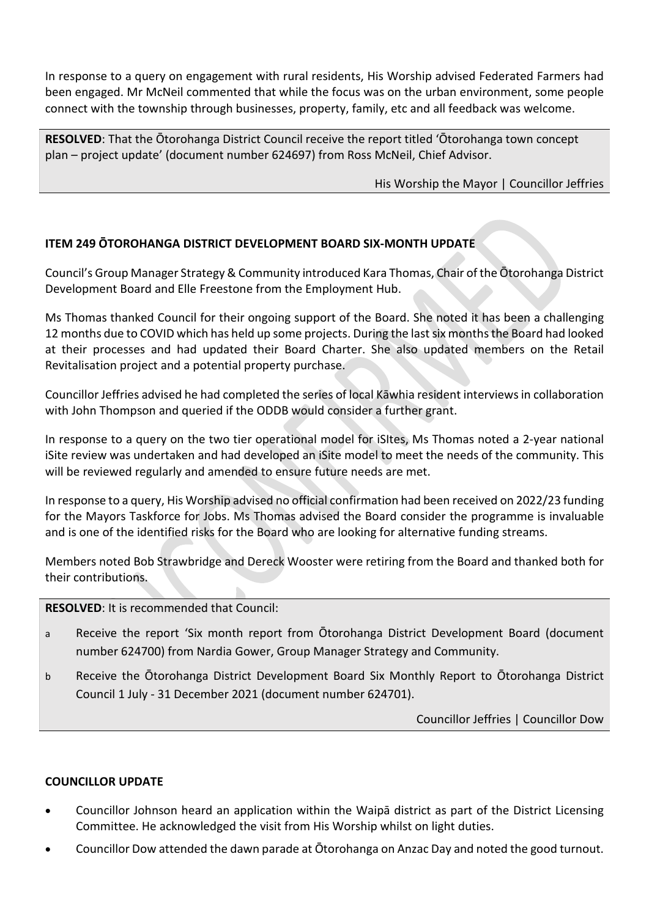In response to a query on engagement with rural residents, His Worship advised Federated Farmers had been engaged. Mr McNeil commented that while the focus was on the urban environment, some people connect with the township through businesses, property, family, etc and all feedback was welcome.

**RESOLVED**: That the Ōtorohanga District Council receive the report titled 'Ōtorohanga town concept plan – project update' (document number 624697) from Ross McNeil, Chief Advisor.

His Worship the Mayor | Councillor Jeffries

# <span id="page-6-0"></span>**ITEM 249 ŌTOROHANGA DISTRICT DEVELOPMENT BOARD SIX-MONTH UPDATE**

Council's Group Manager Strategy & Community introduced Kara Thomas, Chair of the Ōtorohanga District Development Board and Elle Freestone from the Employment Hub.

Ms Thomas thanked Council for their ongoing support of the Board. She noted it has been a challenging 12 months due to COVID which has held up some projects. During the last six months the Board had looked at their processes and had updated their Board Charter. She also updated members on the Retail Revitalisation project and a potential property purchase.

Councillor Jeffries advised he had completed the series of local Kāwhia resident interviews in collaboration with John Thompson and queried if the ODDB would consider a further grant.

In response to a query on the two tier operational model for iSItes, Ms Thomas noted a 2-year national iSite review was undertaken and had developed an iSite model to meet the needs of the community. This will be reviewed regularly and amended to ensure future needs are met.

In response to a query, His Worship advised no official confirmation had been received on 2022/23 funding for the Mayors Taskforce for Jobs. Ms Thomas advised the Board consider the programme is invaluable and is one of the identified risks for the Board who are looking for alternative funding streams.

Members noted Bob Strawbridge and Dereck Wooster were retiring from the Board and thanked both for their contributions.

# **RESOLVED**: It is recommended that Council:

- a Receive the report 'Six month report from Ōtorohanga District Development Board (document number 624700) from Nardia Gower, Group Manager Strategy and Community.
- b Receive the Ōtorohanga District Development Board Six Monthly Report to Ōtorohanga District Council 1 July - 31 December 2021 (document number 624701).

Councillor Jeffries | Councillor Dow

# <span id="page-6-1"></span>**COUNCILLOR UPDATE**

- Councillor Johnson heard an application within the Waipā district as part of the District Licensing Committee. He acknowledged the visit from His Worship whilst on light duties.
- Councillor Dow attended the dawn parade at Ōtorohanga on Anzac Day and noted the good turnout.